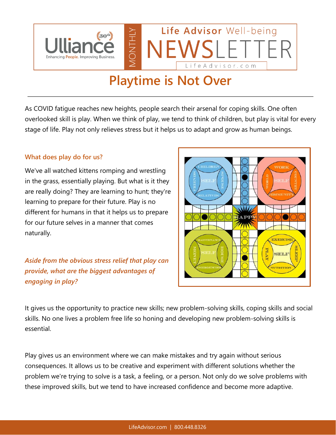

## **Playtime is Not Over**

As COVID fatigue reaches new heights, people search their arsenal for coping skills. One often overlooked skill is play. When we think of play, we tend to think of children, but play is vital for every stage of life. Play not only relieves stress but it helps us to adapt and grow as human beings.

## **What does play do for us?**

We've all watched kittens romping and wrestling in the grass, essentially playing. But what is it they are really doing? They are learning to hunt; they're learning to prepare for their future. Play is no different for humans in that it helps us to prepare for our future selves in a manner that comes naturally.

*Aside from the obvious stress relief that play can provide, what are the biggest advantages of engaging in play?*



It gives us the opportunity to practice new skills; new problem-solving skills, coping skills and social skills. No one lives a problem free life so honing and developing new problem-solving skills is essential.

Play gives us an environment where we can make mistakes and try again without serious consequences. It allows us to be creative and experiment with different solutions whether the problem we're trying to solve is a task, a feeling, or a person. Not only do we solve problems with these improved skills, but we tend to have increased confidence and become more adaptive.